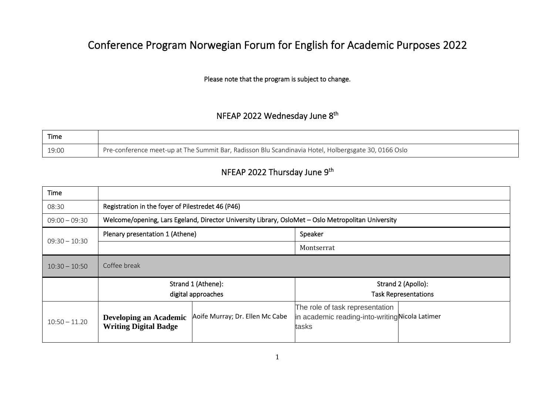## Conference Program Norwegian Forum for English for Academic Purposes 2022

Please note that the program is subject to change.

## NFEAP 2022 Wednesday June 8<sup>th</sup>

| Time  |                                                                                                      |
|-------|------------------------------------------------------------------------------------------------------|
| 19:00 | Pre-conference meet-up at The Summit Bar, Radisson Blu Scandinavia Hotel, Holbergsgate 30, 0166 Oslo |

## NFEAP 2022 Thursday June 9<sup>th</sup>

| Time            |                                                                                                    |                                 |                                                                                            |                                                   |
|-----------------|----------------------------------------------------------------------------------------------------|---------------------------------|--------------------------------------------------------------------------------------------|---------------------------------------------------|
| 08:30           | Registration in the foyer of Pilestredet 46 (P46)                                                  |                                 |                                                                                            |                                                   |
| $09:00 - 09:30$ | Welcome/opening, Lars Egeland, Director University Library, OsloMet - Oslo Metropolitan University |                                 |                                                                                            |                                                   |
|                 | Plenary presentation 1 (Athene)                                                                    |                                 | Speaker                                                                                    |                                                   |
| $09:30 - 10:30$ |                                                                                                    |                                 | Montserrat                                                                                 |                                                   |
| $10:30 - 10:50$ | Coffee break                                                                                       |                                 |                                                                                            |                                                   |
|                 | Strand 1 (Athene):<br>digital approaches                                                           |                                 |                                                                                            | Strand 2 (Apollo):<br><b>Task Representations</b> |
| $10:50 - 11.20$ | <b>Developing an Academic</b><br><b>Writing Digital Badge</b>                                      | Aoife Murray; Dr. Ellen Mc Cabe | The role of task representation<br>in academic reading-into-writingNicola Latimer<br>tasks |                                                   |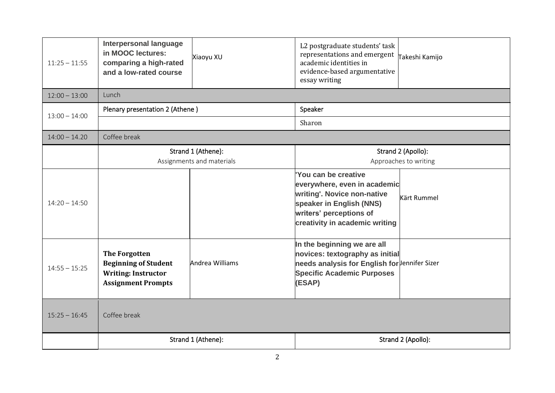| $11:25 - 11:55$ | <b>Interpersonal language</b><br>in MOOC lectures:<br>comparing a high-rated<br>and a low-rated course         | Xiaoyu XU       | L2 postgraduate students' task<br>representations and emergent<br>academic identities in<br>evidence-based argumentative<br>essay writing                                   | Takeshi Kamijo     |
|-----------------|----------------------------------------------------------------------------------------------------------------|-----------------|-----------------------------------------------------------------------------------------------------------------------------------------------------------------------------|--------------------|
| $12:00 - 13:00$ | Lunch                                                                                                          |                 |                                                                                                                                                                             |                    |
| $13:00 - 14:00$ | Plenary presentation 2 (Athene)                                                                                |                 | Speaker                                                                                                                                                                     |                    |
|                 |                                                                                                                |                 | Sharon                                                                                                                                                                      |                    |
| $14:00 - 14.20$ | Coffee break                                                                                                   |                 |                                                                                                                                                                             |                    |
|                 | Strand 1 (Athene):<br>Assignments and materials                                                                |                 | Strand 2 (Apollo):<br>Approaches to writing                                                                                                                                 |                    |
| $14:20 - 14:50$ |                                                                                                                |                 | You can be creative<br>everywhere, even in academic<br>writing'. Novice non-native<br>speaker in English (NNS)<br>writers' perceptions of<br>creativity in academic writing | <b>Kärt Rummel</b> |
| $14:55 - 15:25$ | <b>The Forgotten</b><br><b>Beginning of Student</b><br><b>Writing: Instructor</b><br><b>Assignment Prompts</b> | Andrea Williams | In the beginning we are all<br>novices: textography as initial<br>needs analysis for English for Jennifer Sizer<br><b>Specific Academic Purposes</b><br>(ESAP)              |                    |
| $15:25 - 16:45$ | Coffee break                                                                                                   |                 |                                                                                                                                                                             |                    |
|                 | Strand 1 (Athene):                                                                                             |                 |                                                                                                                                                                             | Strand 2 (Apollo): |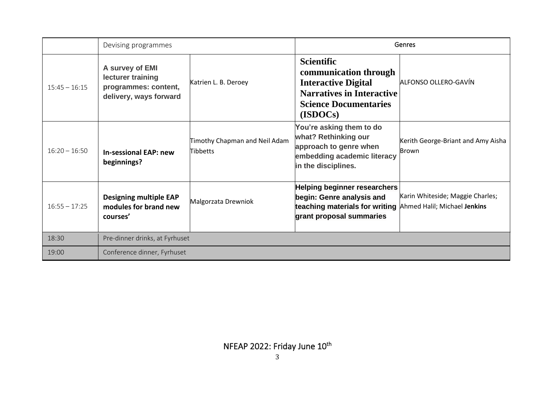|                 | Devising programmes                                                                    |                                           | Genres                                                                                                                                                      |                                             |
|-----------------|----------------------------------------------------------------------------------------|-------------------------------------------|-------------------------------------------------------------------------------------------------------------------------------------------------------------|---------------------------------------------|
| $15:45 - 16:15$ | A survey of EMI<br>lecturer training<br>programmes: content,<br>delivery, ways forward | Katrien L. B. Deroey                      | <b>Scientific</b><br>communication through<br><b>Interactive Digital</b><br><b>Narratives in Interactive</b><br><b>Science Documentaries</b><br>(ISDOCs)    | ALFONSO OLLERO-GAVÍN                        |
| $16:20 - 16:50$ | <b>In-sessional EAP: new</b><br>beginnings?                                            | Timothy Chapman and Neil Adam<br>Tibbetts | You're asking them to do<br>what? Rethinking our<br>approach to genre when<br>embedding academic literacy<br>in the disciplines.                            | Kerith George-Briant and Amy Aisha<br>Brown |
| $16:55 - 17:25$ | <b>Designing multiple EAP</b><br>modules for brand new<br>courses'                     | Malgorzata Drewniok                       | <b>Helping beginner researchers</b><br>begin: Genre analysis and<br>teaching materials for writing Ahmed Halil; Michael Jenkins<br>grant proposal summaries | Karin Whiteside; Maggie Charles;            |
| 18:30           | Pre-dinner drinks, at Fyrhuset                                                         |                                           |                                                                                                                                                             |                                             |
| 19:00           | Conference dinner, Fyrhuset                                                            |                                           |                                                                                                                                                             |                                             |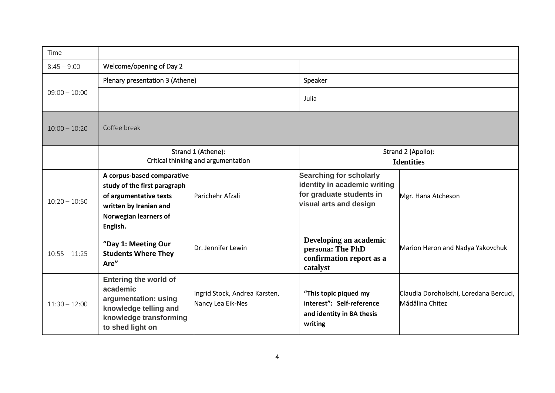| Time            |                                                                                                                                                     |                                                    |                                                                                                                      |                                                           |
|-----------------|-----------------------------------------------------------------------------------------------------------------------------------------------------|----------------------------------------------------|----------------------------------------------------------------------------------------------------------------------|-----------------------------------------------------------|
| $8:45 - 9:00$   | Welcome/opening of Day 2                                                                                                                            |                                                    |                                                                                                                      |                                                           |
|                 | Plenary presentation 3 (Athene)                                                                                                                     |                                                    | Speaker                                                                                                              |                                                           |
| $09:00 - 10:00$ |                                                                                                                                                     |                                                    | Julia                                                                                                                |                                                           |
| $10:00 - 10:20$ | Coffee break                                                                                                                                        |                                                    |                                                                                                                      |                                                           |
|                 | Strand 1 (Athene):                                                                                                                                  |                                                    |                                                                                                                      | Strand 2 (Apollo):                                        |
|                 | Critical thinking and argumentation                                                                                                                 |                                                    |                                                                                                                      | <b>Identities</b>                                         |
| $10:20 - 10:50$ | A corpus-based comparative<br>study of the first paragraph<br>of argumentative texts<br>written by Iranian and<br>Norwegian learners of<br>English. | Parichehr Afzali                                   | <b>Searching for scholarly</b><br>identity in academic writing<br>for graduate students in<br>visual arts and design | Mgr. Hana Atcheson                                        |
| $10:55 - 11:25$ | "Day 1: Meeting Our<br><b>Students Where They</b><br>Are"                                                                                           | Dr. Jennifer Lewin                                 | Developing an academic<br>persona: The PhD<br>confirmation report as a<br>catalyst                                   | Marion Heron and Nadya Yakovchuk                          |
| $11:30 - 12:00$ | <b>Entering the world of</b><br>academic<br>argumentation: using<br>knowledge telling and<br>knowledge transforming<br>to shed light on             | Ingrid Stock, Andrea Karsten,<br>Nancy Lea Eik-Nes | "This topic piqued my<br>interest": Self-reference<br>and identity in BA thesis<br>writing                           | Claudia Doroholschi, Loredana Bercuci,<br>Mădălina Chitez |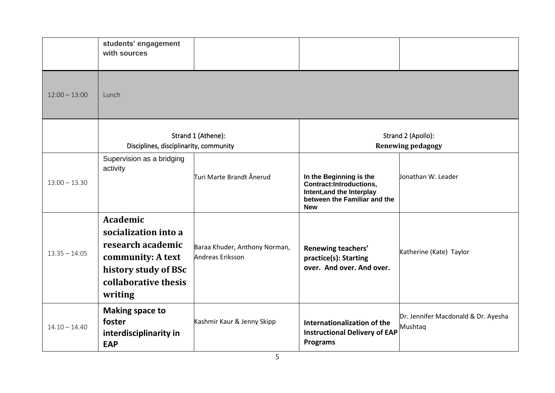|                 | students' engagement<br>with sources                                                                                                  |                                                   |                                                                                                                               |                                                |
|-----------------|---------------------------------------------------------------------------------------------------------------------------------------|---------------------------------------------------|-------------------------------------------------------------------------------------------------------------------------------|------------------------------------------------|
| $12:00 - 13:00$ | Lunch                                                                                                                                 |                                                   |                                                                                                                               |                                                |
|                 | Disciplines, disciplinarity, community                                                                                                | Strand 1 (Athene):                                |                                                                                                                               | Strand 2 (Apollo):<br><b>Renewing pedagogy</b> |
| $13:00 - 13.30$ | Supervision as a bridging<br>activity                                                                                                 | Turi Marte Brandt Ånerud                          | In the Beginning is the<br>Contract:Introductions,<br>Intent, and the Interplay<br>between the Familiar and the<br><b>New</b> | Jonathan W. Leader                             |
| $13.35 - 14:05$ | Academic<br>socialization into a<br>research academic<br>community: A text<br>history study of BSc<br>collaborative thesis<br>writing | Baraa Khuder, Anthony Norman,<br>Andreas Eriksson | Renewing teachers'<br>practice(s): Starting<br>over. And over. And over.                                                      | Katherine (Kate) Taylor                        |
| $14.10 - 14.40$ | <b>Making space to</b><br>foster<br>interdisciplinarity in<br><b>EAP</b>                                                              | Kashmir Kaur & Jenny Skipp                        | Internationalization of the<br><b>Instructional Delivery of EAP</b><br><b>Programs</b>                                        | Dr. Jennifer Macdonald & Dr. Ayesha<br>Mushtaq |